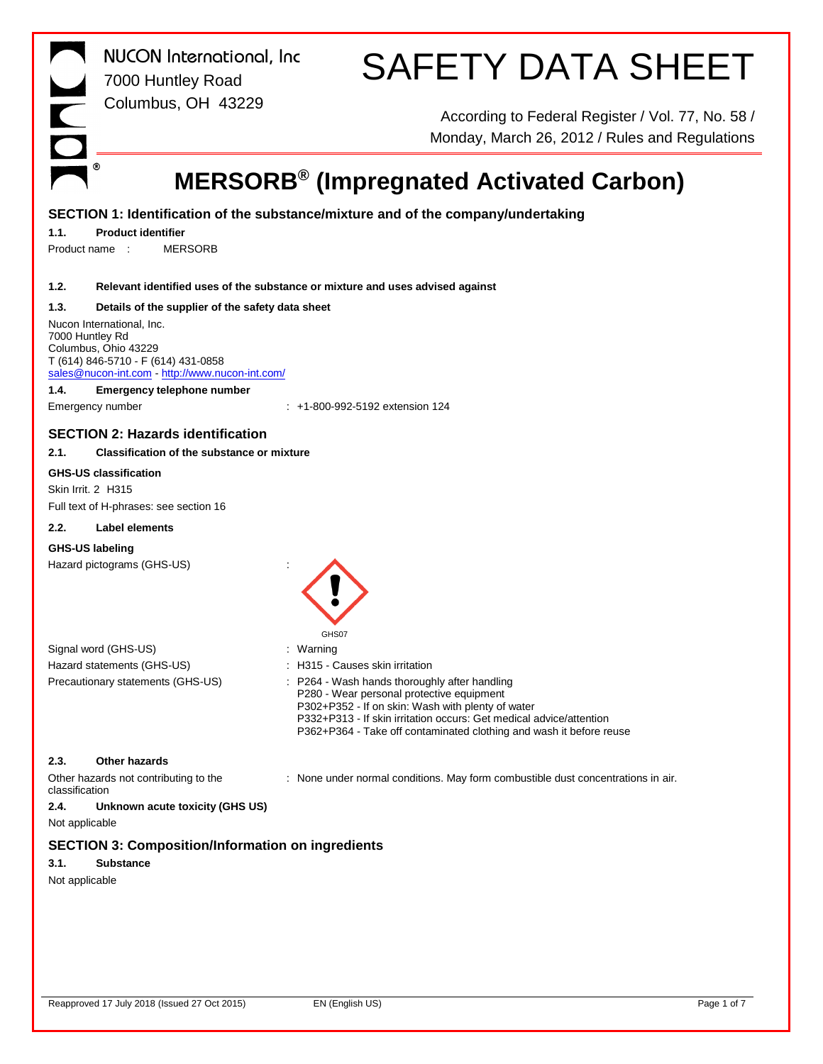|                | <b>NUCON</b> International, Inc<br>7000 Huntley Road                                                                                                         | <b>SAFETY DATA SHEET</b>                                                                                                                                                                                                                     |
|----------------|--------------------------------------------------------------------------------------------------------------------------------------------------------------|----------------------------------------------------------------------------------------------------------------------------------------------------------------------------------------------------------------------------------------------|
|                | Columbus, OH 43229                                                                                                                                           |                                                                                                                                                                                                                                              |
|                |                                                                                                                                                              | According to Federal Register / Vol. 77, No. 58 /<br>Monday, March 26, 2012 / Rules and Regulations                                                                                                                                          |
|                | ◉                                                                                                                                                            | <b>MERSORB<sup>®</sup> (Impregnated Activated Carbon)</b>                                                                                                                                                                                    |
|                |                                                                                                                                                              | SECTION 1: Identification of the substance/mixture and of the company/undertaking                                                                                                                                                            |
| 1.1.           | <b>Product identifier</b>                                                                                                                                    |                                                                                                                                                                                                                                              |
|                | Product name:<br><b>MERSORB</b>                                                                                                                              |                                                                                                                                                                                                                                              |
|                |                                                                                                                                                              |                                                                                                                                                                                                                                              |
| 1.2.           |                                                                                                                                                              | Relevant identified uses of the substance or mixture and uses advised against                                                                                                                                                                |
| 1.3.           | Details of the supplier of the safety data sheet                                                                                                             |                                                                                                                                                                                                                                              |
|                | Nucon International, Inc.<br>7000 Huntley Rd<br>Columbus, Ohio 43229<br>T (614) 846-5710 - F (614) 431-0858<br>sales@nucon-int.com http://www.nucon-int.com/ |                                                                                                                                                                                                                                              |
| 1.4.           | Emergency telephone number                                                                                                                                   |                                                                                                                                                                                                                                              |
|                | Emergency number                                                                                                                                             | $\pm$ +1-800-992-5192 extension 124                                                                                                                                                                                                          |
|                | <b>SECTION 2: Hazards identification</b>                                                                                                                     |                                                                                                                                                                                                                                              |
| 2.1.           | <b>Classification of the substance or mixture</b>                                                                                                            |                                                                                                                                                                                                                                              |
|                | <b>GHS-US classification</b>                                                                                                                                 |                                                                                                                                                                                                                                              |
|                | Skin Irrit. 2 H315                                                                                                                                           |                                                                                                                                                                                                                                              |
|                | Full text of H-phrases: see section 16                                                                                                                       |                                                                                                                                                                                                                                              |
| 2.2.           | Label elements                                                                                                                                               |                                                                                                                                                                                                                                              |
|                | GHS-US labeling                                                                                                                                              |                                                                                                                                                                                                                                              |
|                | Hazard pictograms (GHS-US)                                                                                                                                   |                                                                                                                                                                                                                                              |
|                |                                                                                                                                                              | GHS07                                                                                                                                                                                                                                        |
|                | Signal word (GHS-US)<br>Hazard statements (GHS-US)                                                                                                           | : Warning<br>: H315 - Causes skin irritation                                                                                                                                                                                                 |
|                | Precautionary statements (GHS-US)                                                                                                                            | : P264 - Wash hands thoroughly after handling                                                                                                                                                                                                |
|                |                                                                                                                                                              | P280 - Wear personal protective equipment<br>P302+P352 - If on skin: Wash with plenty of water<br>P332+P313 - If skin irritation occurs: Get medical advice/attention<br>P362+P364 - Take off contaminated clothing and wash it before reuse |
| 2.3.           | <b>Other hazards</b>                                                                                                                                         |                                                                                                                                                                                                                                              |
| classification | Other hazards not contributing to the                                                                                                                        | : None under normal conditions. May form combustible dust concentrations in air.                                                                                                                                                             |
| 2.4.           | Unknown acute toxicity (GHS US)                                                                                                                              |                                                                                                                                                                                                                                              |
| Not applicable |                                                                                                                                                              |                                                                                                                                                                                                                                              |
|                | <b>SECTION 3: Composition/Information on ingredients</b>                                                                                                     |                                                                                                                                                                                                                                              |
| 3.1.           | <b>Substance</b>                                                                                                                                             |                                                                                                                                                                                                                                              |
| Not applicable |                                                                                                                                                              |                                                                                                                                                                                                                                              |
|                |                                                                                                                                                              |                                                                                                                                                                                                                                              |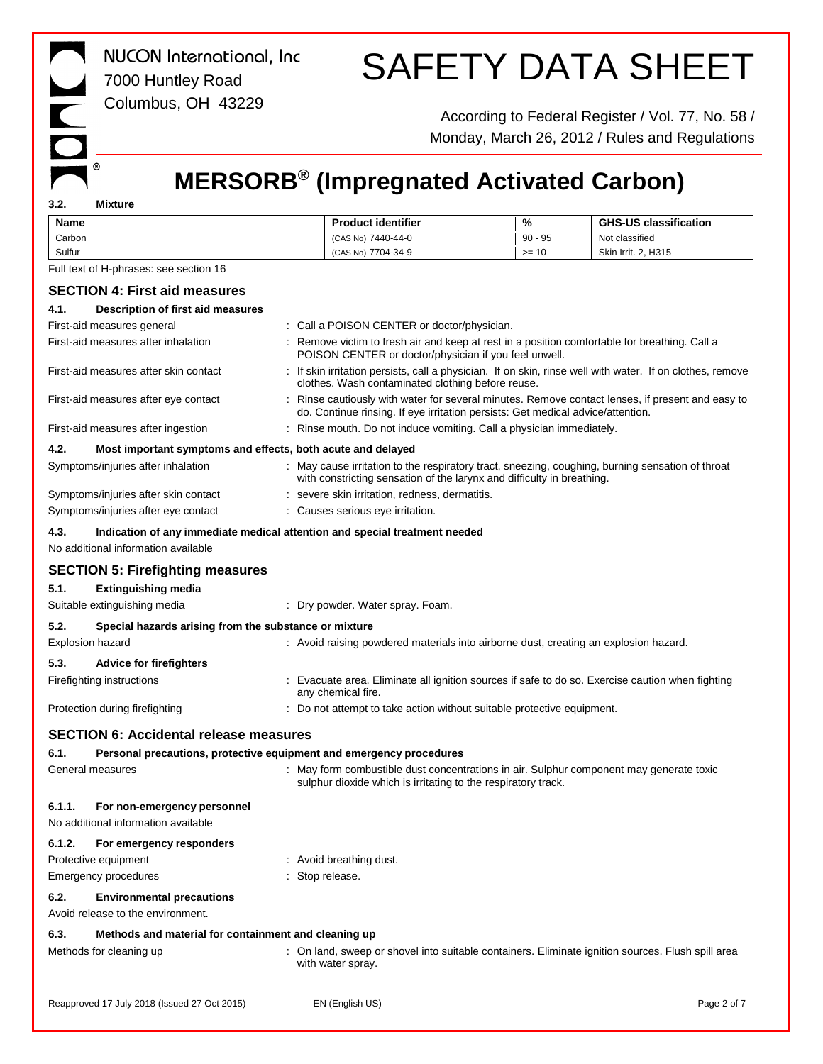| <b>NUCON</b> International, Inc<br>7000 Huntley Road<br>Columbus, OH 43229                                                |               |                                                                                                                                                                                   |               | <b>SAFETY DATA SHEET</b><br>According to Federal Register / Vol. 77, No. 58 /<br>Monday, March 26, 2012 / Rules and Regulations |
|---------------------------------------------------------------------------------------------------------------------------|---------------|-----------------------------------------------------------------------------------------------------------------------------------------------------------------------------------|---------------|---------------------------------------------------------------------------------------------------------------------------------|
| ◉                                                                                                                         |               | <b>MERSORB®</b> (Impregnated Activated Carbon)                                                                                                                                    |               |                                                                                                                                 |
| 3.2.<br><b>Mixture</b>                                                                                                    |               |                                                                                                                                                                                   |               |                                                                                                                                 |
| Name                                                                                                                      |               | <b>Product identifier</b>                                                                                                                                                         | $\frac{9}{6}$ | <b>GHS-US classification</b>                                                                                                    |
| Carbon                                                                                                                    |               | (CAS No) 7440-44-0                                                                                                                                                                | $90 - 95$     | Not classified                                                                                                                  |
| Sulfur<br>Full text of H-phrases: see section 16                                                                          |               | (CAS No) 7704-34-9                                                                                                                                                                | $>= 10$       | Skin Irrit. 2, H315                                                                                                             |
|                                                                                                                           |               |                                                                                                                                                                                   |               |                                                                                                                                 |
| <b>SECTION 4: First aid measures</b>                                                                                      |               |                                                                                                                                                                                   |               |                                                                                                                                 |
| Description of first aid measures<br>4.1.                                                                                 |               |                                                                                                                                                                                   |               |                                                                                                                                 |
| First-aid measures general<br>First-aid measures after inhalation                                                         |               | : Call a POISON CENTER or doctor/physician.<br>: Remove victim to fresh air and keep at rest in a position comfortable for breathing. Call a                                      |               |                                                                                                                                 |
|                                                                                                                           |               | POISON CENTER or doctor/physician if you feel unwell.                                                                                                                             |               |                                                                                                                                 |
| First-aid measures after skin contact                                                                                     |               | : If skin irritation persists, call a physician. If on skin, rinse well with water. If on clothes, remove<br>clothes. Wash contaminated clothing before reuse.                    |               |                                                                                                                                 |
| First-aid measures after eye contact                                                                                      |               | Rinse cautiously with water for several minutes. Remove contact lenses, if present and easy to<br>do. Continue rinsing. If eye irritation persists: Get medical advice/attention. |               |                                                                                                                                 |
| First-aid measures after ingestion                                                                                        |               | : Rinse mouth. Do not induce vomiting. Call a physician immediately.                                                                                                              |               |                                                                                                                                 |
| 4.2.<br>Most important symptoms and effects, both acute and delayed                                                       |               |                                                                                                                                                                                   |               |                                                                                                                                 |
| Symptoms/injuries after inhalation                                                                                        |               | May cause irritation to the respiratory tract, sneezing, coughing, burning sensation of throat<br>with constricting sensation of the larynx and difficulty in breathing.          |               |                                                                                                                                 |
| Symptoms/injuries after skin contact                                                                                      |               | : severe skin irritation, redness, dermatitis.                                                                                                                                    |               |                                                                                                                                 |
| Symptoms/injuries after eye contact                                                                                       |               | : Causes serious eye irritation.                                                                                                                                                  |               |                                                                                                                                 |
| 4.3.<br>Indication of any immediate medical attention and special treatment needed<br>No additional information available |               |                                                                                                                                                                                   |               |                                                                                                                                 |
| <b>SECTION 5: Firefighting measures</b>                                                                                   |               |                                                                                                                                                                                   |               |                                                                                                                                 |
| 5.1.<br><b>Extinguishing media</b>                                                                                        |               |                                                                                                                                                                                   |               |                                                                                                                                 |
| Suitable extinguishing media                                                                                              |               | : Dry powder. Water spray. Foam.                                                                                                                                                  |               |                                                                                                                                 |
| 5.2.<br>Special hazards arising from the substance or mixture                                                             |               |                                                                                                                                                                                   |               |                                                                                                                                 |
| <b>Explosion hazard</b>                                                                                                   |               | Avoid raising powdered materials into airborne dust, creating an explosion hazard.                                                                                                |               |                                                                                                                                 |
| 5.3.<br><b>Advice for firefighters</b>                                                                                    |               |                                                                                                                                                                                   |               |                                                                                                                                 |
| Firefighting instructions                                                                                                 |               | : Evacuate area. Eliminate all ignition sources if safe to do so. Exercise caution when fighting<br>any chemical fire.                                                            |               |                                                                                                                                 |
| Protection during firefighting                                                                                            |               | : Do not attempt to take action without suitable protective equipment.                                                                                                            |               |                                                                                                                                 |
| <b>SECTION 6: Accidental release measures</b>                                                                             |               |                                                                                                                                                                                   |               |                                                                                                                                 |
| Personal precautions, protective equipment and emergency procedures<br>6.1.                                               |               |                                                                                                                                                                                   |               |                                                                                                                                 |
| General measures                                                                                                          |               | : May form combustible dust concentrations in air. Sulphur component may generate toxic<br>sulphur dioxide which is irritating to the respiratory track.                          |               |                                                                                                                                 |
| 6.1.1.<br>For non-emergency personnel<br>No additional information available                                              |               |                                                                                                                                                                                   |               |                                                                                                                                 |
|                                                                                                                           |               |                                                                                                                                                                                   |               |                                                                                                                                 |
| 6.1.2.<br>For emergency responders<br>Protective equipment                                                                |               | : Avoid breathing dust.                                                                                                                                                           |               |                                                                                                                                 |
| Emergency procedures                                                                                                      | Stop release. |                                                                                                                                                                                   |               |                                                                                                                                 |
| 6.2.<br><b>Environmental precautions</b>                                                                                  |               |                                                                                                                                                                                   |               |                                                                                                                                 |
| Avoid release to the environment.                                                                                         |               |                                                                                                                                                                                   |               |                                                                                                                                 |
| 6.3.<br>Methods and material for containment and cleaning up                                                              |               |                                                                                                                                                                                   |               |                                                                                                                                 |
| Methods for cleaning up                                                                                                   |               | : On land, sweep or shovel into suitable containers. Eliminate ignition sources. Flush spill area<br>with water spray.                                                            |               |                                                                                                                                 |
| Reapproved 17 July 2018 (Issued 27 Oct 2015)                                                                              |               | EN (English US)                                                                                                                                                                   |               | Page 2 of 7                                                                                                                     |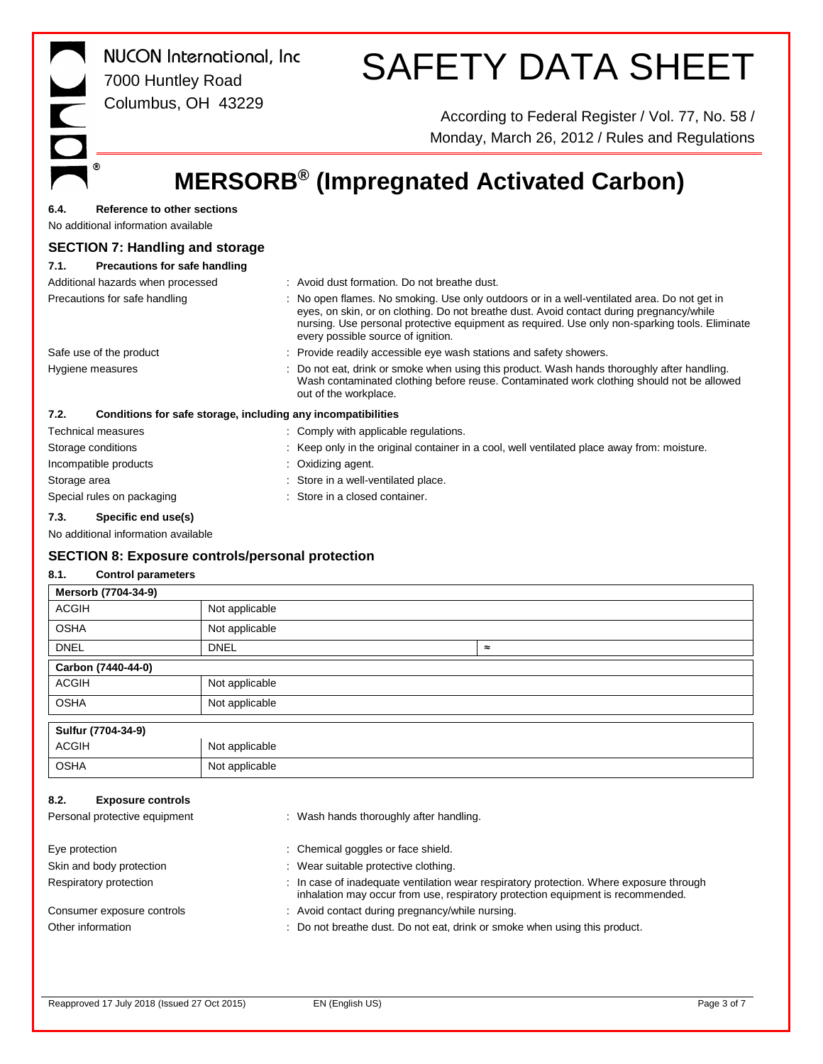| $\overline{\phantom{a}}$<br>$\bigcirc$ | <b>NUCON</b> International, Inc<br>7000 Huntley Road               | <b>SAFETY DATA SHEET</b>                                                                                                                                                                                                                                                                                                        |  |  |  |
|----------------------------------------|--------------------------------------------------------------------|---------------------------------------------------------------------------------------------------------------------------------------------------------------------------------------------------------------------------------------------------------------------------------------------------------------------------------|--|--|--|
|                                        | Columbus, OH 43229                                                 | According to Federal Register / Vol. 77, No. 58 /<br>Monday, March 26, 2012 / Rules and Regulations                                                                                                                                                                                                                             |  |  |  |
|                                        |                                                                    | <b>MERSORB<sup>®</sup> (Impregnated Activated Carbon)</b>                                                                                                                                                                                                                                                                       |  |  |  |
| 6.4.                                   | Reference to other sections<br>No additional information available |                                                                                                                                                                                                                                                                                                                                 |  |  |  |
|                                        | <b>SECTION 7: Handling and storage</b>                             |                                                                                                                                                                                                                                                                                                                                 |  |  |  |
| 7.1.                                   | <b>Precautions for safe handling</b>                               |                                                                                                                                                                                                                                                                                                                                 |  |  |  |
|                                        | Additional hazards when processed                                  | : Avoid dust formation. Do not breathe dust.                                                                                                                                                                                                                                                                                    |  |  |  |
| Precautions for safe handling          |                                                                    | : No open flames. No smoking. Use only outdoors or in a well-ventilated area. Do not get in<br>eyes, on skin, or on clothing. Do not breathe dust. Avoid contact during pregnancy/while<br>nursing. Use personal protective equipment as required. Use only non-sparking tools. Eliminate<br>every possible source of ignition. |  |  |  |
| Safe use of the product                |                                                                    | : Provide readily accessible eye wash stations and safety showers.                                                                                                                                                                                                                                                              |  |  |  |
| Hygiene measures                       |                                                                    | : Do not eat, drink or smoke when using this product. Wash hands thoroughly after handling.<br>Wash contaminated clothing before reuse. Contaminated work clothing should not be allowed<br>out of the workplace.                                                                                                               |  |  |  |
| 7.2.                                   | Conditions for safe storage, including any incompatibilities       |                                                                                                                                                                                                                                                                                                                                 |  |  |  |
|                                        | Technical measures                                                 | : Comply with applicable regulations.                                                                                                                                                                                                                                                                                           |  |  |  |
|                                        | Storage conditions                                                 | : Keep only in the original container in a cool, well ventilated place away from: moisture.                                                                                                                                                                                                                                     |  |  |  |
| Incompatible products                  |                                                                    | : Oxidizing agent.                                                                                                                                                                                                                                                                                                              |  |  |  |
| Storage area                           |                                                                    | : Store in a well-ventilated place.                                                                                                                                                                                                                                                                                             |  |  |  |
| Special rules on packaging             |                                                                    | Store in a closed container.                                                                                                                                                                                                                                                                                                    |  |  |  |
| 7.3.                                   | Specific end use(s)                                                |                                                                                                                                                                                                                                                                                                                                 |  |  |  |
|                                        | No additional information available                                |                                                                                                                                                                                                                                                                                                                                 |  |  |  |
|                                        | <b>SECTION 8: Exposure controls/personal protection</b>            |                                                                                                                                                                                                                                                                                                                                 |  |  |  |
| 8.1.                                   | <b>Control parameters</b>                                          |                                                                                                                                                                                                                                                                                                                                 |  |  |  |
|                                        | Mersorb (7704-34-9)                                                |                                                                                                                                                                                                                                                                                                                                 |  |  |  |
|                                        |                                                                    |                                                                                                                                                                                                                                                                                                                                 |  |  |  |

| <b>ACGIH</b>                     | Not applicable |                                                                                                                                                                            |                |  |
|----------------------------------|----------------|----------------------------------------------------------------------------------------------------------------------------------------------------------------------------|----------------|--|
| <b>OSHA</b>                      | Not applicable |                                                                                                                                                                            |                |  |
| <b>DNEL</b>                      | <b>DNEL</b>    |                                                                                                                                                                            | $\thickapprox$ |  |
| Carbon (7440-44-0)               |                |                                                                                                                                                                            |                |  |
| <b>ACGIH</b>                     | Not applicable |                                                                                                                                                                            |                |  |
| <b>OSHA</b>                      | Not applicable |                                                                                                                                                                            |                |  |
| Sulfur (7704-34-9)               |                |                                                                                                                                                                            |                |  |
| <b>ACGIH</b>                     | Not applicable |                                                                                                                                                                            |                |  |
| <b>OSHA</b>                      | Not applicable |                                                                                                                                                                            |                |  |
| 8.2.<br><b>Exposure controls</b> |                |                                                                                                                                                                            |                |  |
| Personal protective equipment    |                | : Wash hands thoroughly after handling.                                                                                                                                    |                |  |
| Eye protection                   |                | Chemical goggles or face shield.                                                                                                                                           |                |  |
| Skin and body protection         |                | Wear suitable protective clothing.                                                                                                                                         |                |  |
| Respiratory protection           |                | : In case of inadequate ventilation wear respiratory protection. Where exposure through<br>inhalation may occur from use, respiratory protection equipment is recommended. |                |  |
| Consumer exposure controls       |                | : Avoid contact during pregnancy/while nursing.                                                                                                                            |                |  |
| Other information                |                | Do not breathe dust. Do not eat, drink or smoke when using this product.                                                                                                   |                |  |
|                                  |                |                                                                                                                                                                            |                |  |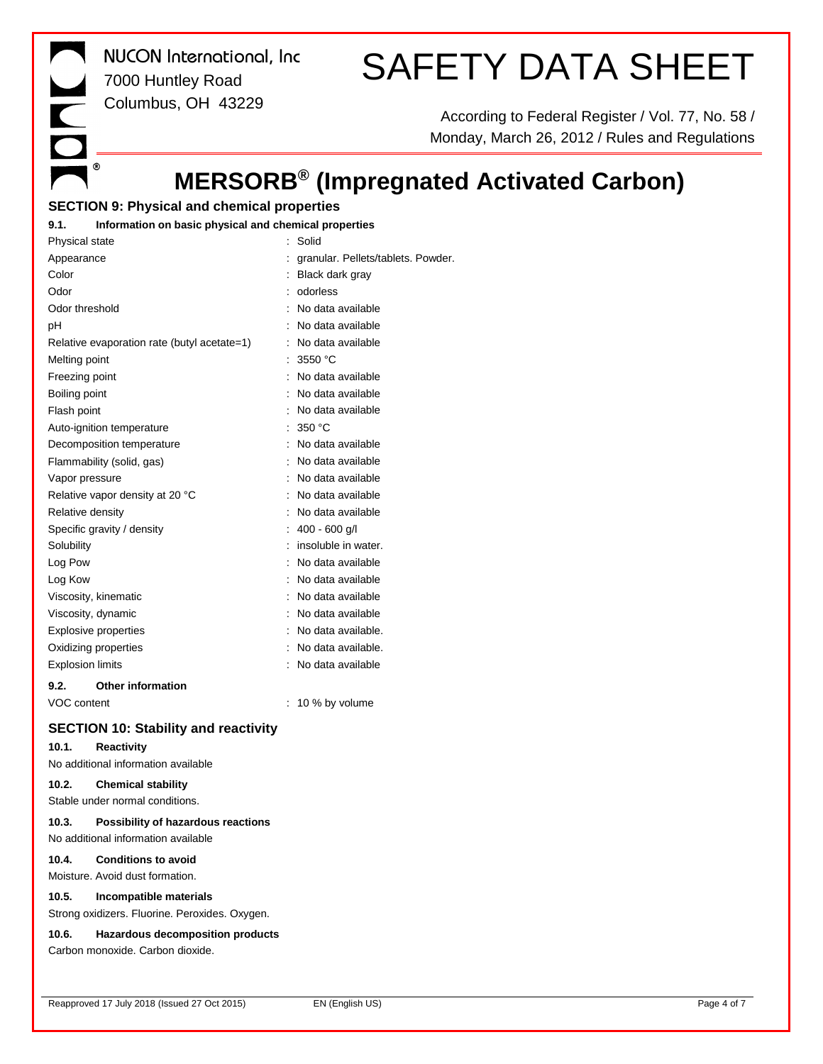*NUCON International, Inc* 7000 Huntley Road Columbus, OH 43229

 $\blacksquare$ 

 $^\circledR$ 

# SAFETY DATA SHEET

According to Federal Register / Vol. 77, No. 58 / Monday, March 26, 2012 / Rules and Regulations

# **MERSORB® (Impregnated Activated Carbon)**

# **SECTION 9: Physical and chemical properties**

## **9.1. Information on basic physical and chemical properties**

| Physical state          |                                             | Solid                              |
|-------------------------|---------------------------------------------|------------------------------------|
| Appearance              |                                             | granular. Pellets/tablets. Powder. |
| Color                   |                                             | Black dark gray                    |
| Odor                    |                                             | odorless                           |
| Odor threshold          |                                             | No data available                  |
| pH                      |                                             | No data available                  |
|                         | Relative evaporation rate (butyl acetate=1) | No data available                  |
| Melting point           |                                             | 3550 °C                            |
| Freezing point          |                                             | No data available                  |
| Boiling point           |                                             | No data available                  |
| Flash point             |                                             | No data available                  |
|                         | Auto-ignition temperature                   | 350 °C                             |
|                         | Decomposition temperature                   | No data available                  |
|                         | Flammability (solid, gas)                   | No data available                  |
| Vapor pressure          |                                             | No data available                  |
|                         | Relative vapor density at 20 °C             | No data available                  |
| Relative density        |                                             | No data available                  |
|                         | Specific gravity / density                  | 400 - 600 g/l                      |
| Solubility              |                                             | insoluble in water.                |
| Log Pow                 |                                             | No data available                  |
| Log Kow                 |                                             | No data available                  |
|                         | Viscosity, kinematic                        | No data available                  |
| Viscosity, dynamic      |                                             | No data available                  |
| Explosive properties    |                                             | No data available.                 |
| Oxidizing properties    |                                             | No data available.                 |
| <b>Explosion limits</b> |                                             | No data available                  |
| 9.2.                    | <b>Other information</b>                    |                                    |
| <b>VOC content</b>      |                                             | 10 % by volume                     |

# **SECTION 10: Stability and reactivity**

## **10.1. Reactivity**

No additional information available

## **10.2. Chemical stability**

Stable under normal conditions.

#### **10.3. Possibility of hazardous reactions** No additional information available

**10.4. Conditions to avoid**

Moisture. Avoid dust formation.

#### **10.5. Incompatible materials**

Strong oxidizers. Fluorine. Peroxides. Oxygen.

#### **10.6. Hazardous decomposition products**

Carbon monoxide. Carbon dioxide.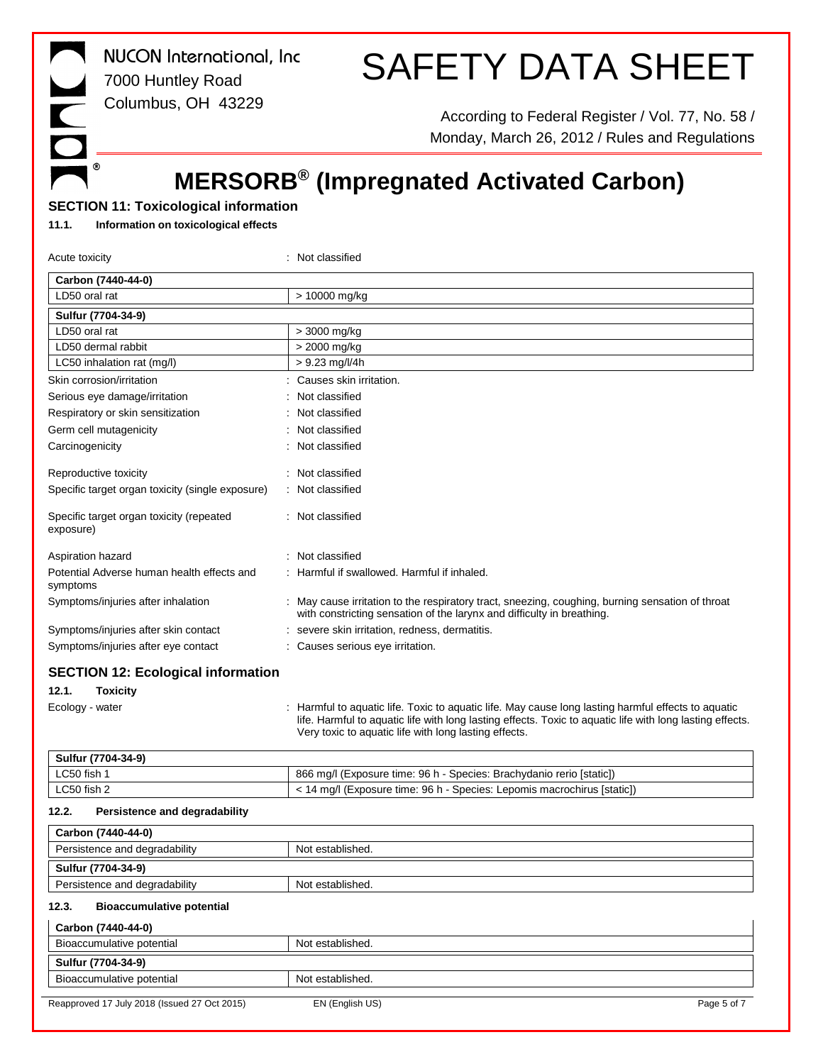*NUCON International, Inc* 7000 Huntley Road Columbus, OH 43229

# SAFETY DATA SHEET

According to Federal Register / Vol. 77, No. 58 / Monday, March 26, 2012 / Rules and Regulations

# **MERSORB® (Impregnated Activated Carbon)**

# **SECTION 11: Toxicological information**

## **11.1. Information on toxicological effects**

 $^\circledR$ 

| Acute toxicity                                         | : Not classified                                                                                                                                                                                                                                                        |  |  |  |  |
|--------------------------------------------------------|-------------------------------------------------------------------------------------------------------------------------------------------------------------------------------------------------------------------------------------------------------------------------|--|--|--|--|
| Carbon (7440-44-0)                                     |                                                                                                                                                                                                                                                                         |  |  |  |  |
| LD50 oral rat                                          | > 10000 mg/kg                                                                                                                                                                                                                                                           |  |  |  |  |
| Sulfur (7704-34-9)                                     |                                                                                                                                                                                                                                                                         |  |  |  |  |
| LD50 oral rat                                          | > 3000 mg/kg                                                                                                                                                                                                                                                            |  |  |  |  |
| LD50 dermal rabbit                                     | > 2000 mg/kg                                                                                                                                                                                                                                                            |  |  |  |  |
| LC50 inhalation rat (mg/l)                             | $> 9.23$ mg/l/4h                                                                                                                                                                                                                                                        |  |  |  |  |
| Skin corrosion/irritation                              | Causes skin irritation.                                                                                                                                                                                                                                                 |  |  |  |  |
| Serious eye damage/irritation                          | Not classified                                                                                                                                                                                                                                                          |  |  |  |  |
| Respiratory or skin sensitization                      | Not classified                                                                                                                                                                                                                                                          |  |  |  |  |
| Germ cell mutagenicity                                 | Not classified                                                                                                                                                                                                                                                          |  |  |  |  |
| Carcinogenicity                                        | Not classified                                                                                                                                                                                                                                                          |  |  |  |  |
| Reproductive toxicity                                  | Not classified                                                                                                                                                                                                                                                          |  |  |  |  |
| Specific target organ toxicity (single exposure)       | Not classified                                                                                                                                                                                                                                                          |  |  |  |  |
| Specific target organ toxicity (repeated<br>exposure)  | : Not classified                                                                                                                                                                                                                                                        |  |  |  |  |
| Aspiration hazard                                      | Not classified                                                                                                                                                                                                                                                          |  |  |  |  |
| Potential Adverse human health effects and<br>symptoms | Harmful if swallowed. Harmful if inhaled.                                                                                                                                                                                                                               |  |  |  |  |
| Symptoms/injuries after inhalation                     | May cause irritation to the respiratory tract, sneezing, coughing, burning sensation of throat<br>with constricting sensation of the larynx and difficulty in breathing.                                                                                                |  |  |  |  |
| Symptoms/injuries after skin contact                   | severe skin irritation, redness, dermatitis.                                                                                                                                                                                                                            |  |  |  |  |
| Symptoms/injuries after eye contact                    | : Causes serious eye irritation.                                                                                                                                                                                                                                        |  |  |  |  |
| <b>SECTION 12: Ecological information</b>              |                                                                                                                                                                                                                                                                         |  |  |  |  |
| 12.1.<br><b>Toxicity</b>                               |                                                                                                                                                                                                                                                                         |  |  |  |  |
| Ecology - water                                        | Harmful to aquatic life. Toxic to aquatic life. May cause long lasting harmful effects to aquatic<br>life. Harmful to aquatic life with long lasting effects. Toxic to aquatic life with long lasting effects.<br>Very toxic to aquatic life with long lasting effects. |  |  |  |  |
| Sulfur (7704-34-9)                                     |                                                                                                                                                                                                                                                                         |  |  |  |  |
| LC50 fish 1                                            | 866 mg/l (Exposure time: 96 h - Species: Brachydanio rerio [static])                                                                                                                                                                                                    |  |  |  |  |
| LC50 fish 2                                            | < 14 mg/l (Exposure time: 96 h - Species: Lepomis macrochirus [static])                                                                                                                                                                                                 |  |  |  |  |
| 12.2.<br>Persistence and degradability                 |                                                                                                                                                                                                                                                                         |  |  |  |  |
| Carbon (7440-44-0)                                     |                                                                                                                                                                                                                                                                         |  |  |  |  |
| Persistence and degradability                          | Not established.                                                                                                                                                                                                                                                        |  |  |  |  |
| Sulfur (7704-34-9)                                     |                                                                                                                                                                                                                                                                         |  |  |  |  |
| Persistence and degradability                          | Not established.                                                                                                                                                                                                                                                        |  |  |  |  |
| <b>Bioaccumulative potential</b><br>12.3.              |                                                                                                                                                                                                                                                                         |  |  |  |  |
| Carbon (7440-44-0)                                     |                                                                                                                                                                                                                                                                         |  |  |  |  |
| Bioaccumulative potential                              | Not established.                                                                                                                                                                                                                                                        |  |  |  |  |
| Sulfur (7704-34-9)                                     |                                                                                                                                                                                                                                                                         |  |  |  |  |
| Bioaccumulative potential                              | Not established.                                                                                                                                                                                                                                                        |  |  |  |  |
| Reapproved 17 July 2018 (Issued 27 Oct 2015)           | EN (English US)<br>Page 5 of 7                                                                                                                                                                                                                                          |  |  |  |  |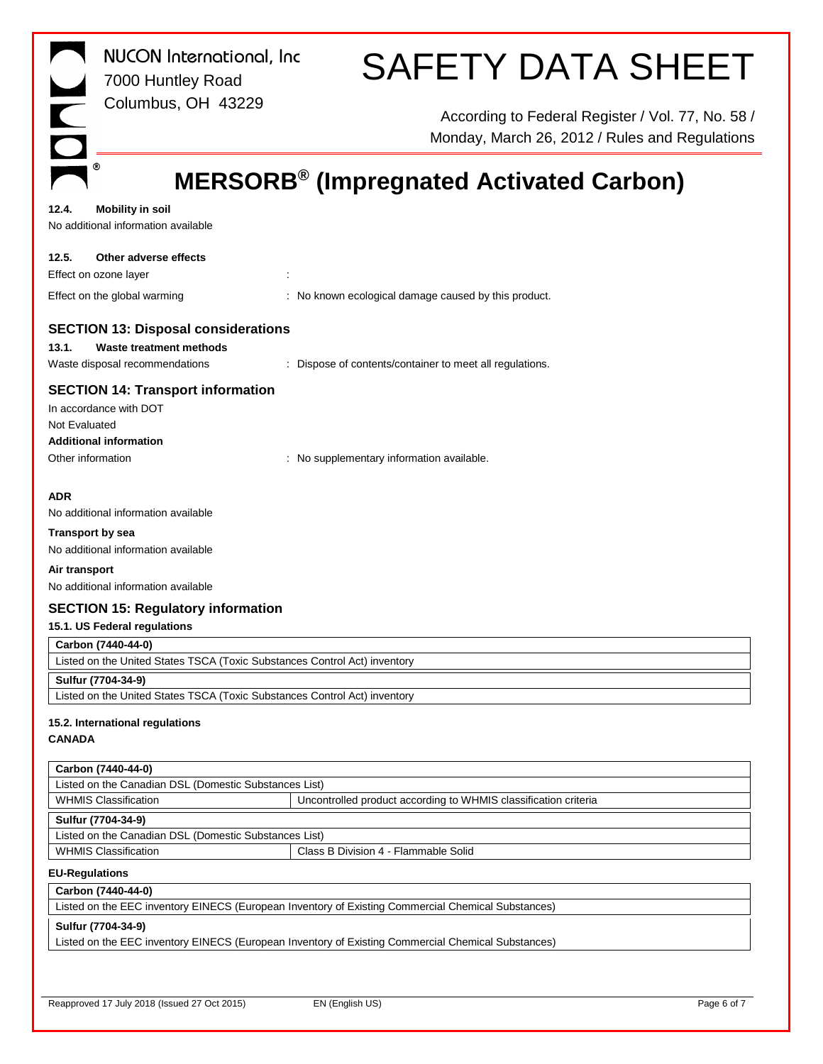| <b>NUCON</b> International, Inc<br>7000 Huntley Road                                                                 | <b>SAFETY DATA SHEET</b>                                                                            |
|----------------------------------------------------------------------------------------------------------------------|-----------------------------------------------------------------------------------------------------|
| Columbus, OH 43229                                                                                                   | According to Federal Register / Vol. 77, No. 58 /<br>Monday, March 26, 2012 / Rules and Regulations |
| ◉                                                                                                                    | <b>MERSORB<sup>®</sup> (Impregnated Activated Carbon)</b>                                           |
|                                                                                                                      |                                                                                                     |
| 12.4.<br><b>Mobility in soil</b><br>No additional information available                                              |                                                                                                     |
| 12.5.<br>Other adverse effects                                                                                       |                                                                                                     |
| Effect on ozone layer                                                                                                |                                                                                                     |
| Effect on the global warming                                                                                         | : No known ecological damage caused by this product.                                                |
| <b>SECTION 13: Disposal considerations</b><br>13.1.<br>Waste treatment methods                                       |                                                                                                     |
| Waste disposal recommendations                                                                                       | : Dispose of contents/container to meet all regulations.                                            |
| <b>SECTION 14: Transport information</b><br>In accordance with DOT<br>Not Evaluated<br><b>Additional information</b> |                                                                                                     |
| Other information                                                                                                    | : No supplementary information available.                                                           |
| <b>ADR</b><br>No additional information available                                                                    |                                                                                                     |
| <b>Transport by sea</b><br>No additional information available                                                       |                                                                                                     |
| Air transport<br>No additional information available                                                                 |                                                                                                     |
| <b>SECTION 15: Regulatory information</b>                                                                            |                                                                                                     |
| 15.1. US Federal regulations                                                                                         |                                                                                                     |
| Carbon (7440-44-0)                                                                                                   |                                                                                                     |
| Listed on the United States TSCA (Toxic Substances Control Act) inventory<br>Sulfur (7704-34-9)                      |                                                                                                     |
| Listed on the United States TSCA (Toxic Substances Control Act) inventory                                            |                                                                                                     |
| 15.2. International regulations                                                                                      |                                                                                                     |
| <b>CANADA</b>                                                                                                        |                                                                                                     |
| Carbon (7440-44-0)                                                                                                   |                                                                                                     |
| Listed on the Canadian DSL (Domestic Substances List)                                                                |                                                                                                     |
| <b>WHMIS Classification</b>                                                                                          | Uncontrolled product according to WHMIS classification criteria                                     |
| Sulfur (7704-34-9)                                                                                                   |                                                                                                     |
| Listed on the Canadian DSL (Domestic Substances List)                                                                | Class B Division 4 - Flammable Solid                                                                |
| <b>WHMIS Classification</b>                                                                                          |                                                                                                     |
| <b>EU-Regulations</b><br>Carbon (7440-44-0)                                                                          |                                                                                                     |
|                                                                                                                      | Listed on the EEC inventory EINECS (European Inventory of Existing Commercial Chemical Substances)  |
| Sulfur (7704-34-9)                                                                                                   |                                                                                                     |
|                                                                                                                      | Listed on the EEC inventory EINECS (European Inventory of Existing Commercial Chemical Substances)  |
|                                                                                                                      |                                                                                                     |
| Reapproved 17 July 2018 (Issued 27 Oct 2015)                                                                         | EN (English US)<br>Page 6 of 7                                                                      |